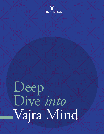

# Deep Dive *into* Vajra Mind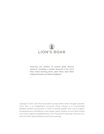## **LION'S ROAR**

**Featuring the wisdom of several great dharma teachers, including a number featured in the Lion's Roar online learning series,** *Open Heart, Vajra Mind: Profound Practices of Tibetan Buddhism***.**

Copyright © 2021 Lion's Roar Foundation, except where noted. All rights reserved. Lion's Roar is an independent non-profit whose mission is to communicate Buddhist wisdom and practices in order to benefit people's lives, and to support the development of Buddhism in the modern world. Projects of Lion's Roar include Lion's Roar magazine, Buddhadharma: The Practitioner's Quarterly, lionsroar.com, and Lion's Roar Special Editions and Online Learning.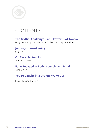

## CONTENTS

#### **The Myths, Challenges, and Rewards of Tantra**

Dzogchen Ponlop Rinpoche, Anne C. Klein, and Larry Mermelstein

#### **Journey to Awakening** Judy Lief

#### **Oh Tara, Protect Us** Thubten Chodron

#### **Fully Engaged in Body, Speech, and Mind**

Anne C. Klein

#### **You're Caught in a Dream. Wake Up!**

Pema Khandro Rinpoche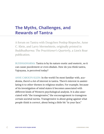## **The Myths, Challenges, and Rewards of Tantra**

A forum on Tantra with Dzogchen Ponlop Rinpoche, Anne C. Klein, and Larry Mermelstein, originally printed in *Buddhadharma: The Practitioner's Quarterly*, a Lion's Roar publication.

BUDDHADHARMA: Tantra is by its nature exotic and esoteric, so it can cause puzzlement or even disdain. How do you think tantra, Vajrayana, is perceived today?

ANNE CAROLYN KLEIN: In the world I'm most familiar with, academia, there's a lot of interest in tantra. There's interest in assimilating it to other themes in religious studies. For example, because of its investigation of mind states it becomes associated with different kinds of Western psychological analysis. It is also associated with "the transgressive," the encouragement to transgress certain societal norms. Transgressive is about going against what people think is correct, about being a little bit "in your face."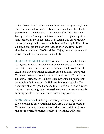But while scholars like to talk about tantra as transgressive, in my view that misses how tantra actually functions for its Buddhist practitioners. It kind of skews the conversation into alleys and byways that don't really take into account the long history of how tantric ideas and practices have been assimilated very gradually and very thoughtfully—first in India, but particularly in Tibet—into an organized, graded path that leads to the very same realization that is central to all of Buddhism. Vajrayana is not predicated purely upon being radical and iconoclastic.

DZOGCHEN PONLOP RINPOCHE: Absolutely. The details of what Vajrayana means and how it works will come across in time as we begin to share more and see more teachers. It would be difficult to clarify everything in a short period of time. Many great Vajrayana masters traveled to America, such as His Holiness the Sixteenth Karmapa, His Holiness Dilgo Khyentse Rinpoche, the venerable Kalu Rinpoche, His Holiness Dudjom Rinpoche. The very venerable Trungpa Rinpoche took North America as his seat and set a very good ground. Nevertheless, we can see how acculturating people to tantra is necessarily a long process.

BUDDHADHARMA: Practicing tantra requires a strong community context and careful training. How are we doing in creating Vajrayana communities in a context that's pretty different from the one in which Vajrayana flourished for a thousand years?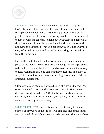

ANNE CAROLYN KLEIN: People become attracted to Vajrayana largely because of its teachers—because of their charisma, and their palpable compassion. The sparkling presentations of the great teachers are like beacons drawing people to them. You want to just be with the teacher, to hang out with them and hear what they teach, and ultimately to practice what they advise once the honeymoon has passed. There's a process, which is not always so easy, of actually understanding and appreciating and benefiting from the practices.

One of the first obstacles is that ritual is not prevalent in many parts of the modern West. So a core challenge for many people is to be able to work with ritual—to be able to experience it as a way to hold realization that one can gradually enter into and allow to seep into oneself, rather than experiencing it as a superficial traditional requirement.

Often people see ritual as a whole bunch of rules and forms. The obsessive mind kicks in and it becomes a pursuit: How do you do this? How do you do that? Certainly one tries to do things correctly, but when that dominates, the quality of the ritual as a means of teaching can fade away.

LARRY MERMELSTEIN: Yes, this has been a difficulty for many people. I'd say we're doing the best we can, and one of the things we can benefit from is how many translator–practitioners we have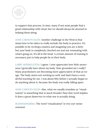

to support that process. In time, many if not most people find a good relationship with ritual, but we should always be attuned to helping them along.

ANNE CAROLYN KLEIN: Another challenge in the West is that steps have to be taken to really include the body in practice. It's possible to be reciting a mantra and imagining you are a deity but your body is completely checked out and not resonating with what's going on. It's all in the head. A certain amount of training is necessary just to help people be in their body.

LARRY MERMELSTEIN: I agree. I now appreciate how little awareness I generally have about my body. How grounded am I really? Many practitioners are becoming more appreciative of that as we age. The body starts not working so well, and that's been a wonderful teaching for me. I was about fifty before I actually began to do anything about it, because the body was really falling apart.

ANNE CAROLYN KLEIN: Also, what we usually translate as "visualization" is something that is much broader than that word implies. It does a great disservice to what one is actually doing.

BUDDHADHARMA: The word "visualization" is very eye-sense oriented.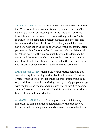ANNE CAROLYN KLEIN: Yes. It's also very subject–object oriented. Our Western notion of visualization conjures up something like watching a movie, or watching TV. In the traditional cultures in which tantra arose, you never saw anything that wasn't alive in front of you. Seeing has a certain richness and aliveness and freshness in that kind of culture. So, embodying a deity is not just done with the eyes, it's done with the whole organism. Often people say, "I can't visualize," or "I can't see it clearly." We can also forget the power of the mantra itself to evoke the deity and her world, and the extent to which one needs to get out of the way and allow it to do that. Too often we stand in the way, and worry and obsess. It becomes a real interference with practice.

LARRY MERMELSTEIN: Making the ritual practice relevant and workable requires training, and probably a little more for Westerners, which is one of the jobs that our translation group takes on, in addition to simply translating. We try to help people engage with the texts and the methods in a way that allows it to become a natural extension of their prior Buddhist practice, rather than a bunch of new bells and whistles.

ANNE CAROLYN KLEIN: Yes. That's good. I also think it's very important to bring dharma understanding to the practice you know, so that one really understands absolute and relative truth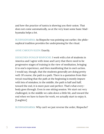and how the practice of tantra is showing you their union. That does not come automatically, so at the very least some basic Madhyamaka helps a lot.

BUDDHADHARMA: As Rinpoche was pointing out earlier, the philosophical tradition provides the underpinning for the ritual.

ANNE CAROLYN KLEIN: Exactly.

DZOGCHEN PONLOP RINPOCHE: I work with a lot of students in America and I agree with Anne and Larry that there need to be progressive stages of training in the view of meditation, bringing it to one's experience, and then manifesting that in one's action. I would say, though, that the students generally are doing pretty well. Of course, the path is a path. There is a quotation from Maitreya's teaching that the path at the beginning is mostly impure with lots of mistakes; in the middle, the path is half and half; toward the end, it is more pure and perfect. That's what everybody goes through. Even in one sitting session. We start out very challenged, in the middle we calm down a little bit, and toward the end when we have to leave for work, we actually start to enjoy it. [Laughter]

BUDDHADHARMA: Why can't we just reverse the order, Rinpoche?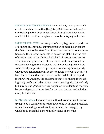DZOGCHEN PONLOP RINPOCHE: I was actually hoping we could create a machine to do that [laughter]. But it seems that progressive training in the three yanas is how it has always been done. And I think in all of our sanghas we have been trying to do that.

LARRY MERMELSTEIN: We are part of a very big, grand experiment of bringing an enormous cultural infusion of incredible wisdom that has come to the West from Tibet. We have rapid communications and the internet connects us across the globe, but the rate of transmission of the dharma has a kind of natural rate. We are very busy taking advantage of how much has been provided by teachers coming to the West, and we're proceeding slowly from some aerial perspective. Or perhaps we're moving quite quickly. Only future generations will be able to judge how we've done. It's hard for us to see that since we are in the middle of the experiment. Overall, though, the students seem to be finding the teachings very useful and relevant and are connecting with them slowly but surely. Also, gradually, we're beginning to understand the view better and getting a better feel for the practice, and we're finding a way to mix them.

BUDDHADHARMA: I have at times suffered from the syndrome of trying to be a cognitive superstar in working with these practices, rather than having a relationship with them that engaged my whole body and mind, a more intuitive kind of knowing.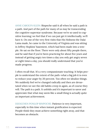ANNE CAROLYN KLEIN: Rinpoche said it all when he said a path is a path. And part of the path for many of us may be transcending the cognitive superstar syndrome. Because we're so used to cognitive learning; we feel that if we can just get it intellectually, we'll have it. On one of the very first visits that His Holiness the Dalai Lama made, he came to the University of Virginia and was sitting in Jeffrey Hopkins' basement, which had been made into a temple. He sat on the floor. There were only about fifty people there, and he said that if you've been practicing for about five years and instead of getting angry ten times a day you only get angry seven or eight times a day, you should really understand that you've made progress.

I often recall that. It's a very compassionate teaching. It helps people to understand the extent of the path—what a big job it is even to reduce your anger by 20 percent. Too often we idealize things. We suddenly feel we've changed radically and then are devastated when we see the old habits creep in again, as of course they will. The path is a path. It unfolds and it's important to savor and appreciate that what may seem like a small thing is actually quite an important achievement.

DZOGCHEN PONLOP RINPOCHE: Patience is very important, especially in this time when instant gratification is expected. People think they must achieve something right away, and that becomes an obstacle.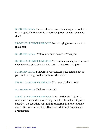BUDDHADHARMA: Since realization is self-existing, it is available on the spot. Yet the path is so very long. How do you reconcile that?

DZOGCHEN PONLOP RINPOCHE: By not trying to reconcile that. [Laughter]

BUDDHADHARMA: That's a profound answer. Thank you.

DZOGCHEN PONLOP RINPOCHE: You posed a good question, and I should have a good answer, but I don't. I'm sorry. [Laughter]

BUDDHADHARMA: I thought not reconciling the instantaneous path and the long, gradual path was the answer.

DZOGCHEN PONLOP RINPOCHE: No. I retract that answer.

BUDDHADHARMA: Shall we try again?

DZOGCHEN PONLOP RINPOCHE: It is true that the Vajrayana teaches about sudden awakening, but all of those teachings are based on the idea that our mind is primordially awake, already awake. So, we discover that. That's very different from instant gratification.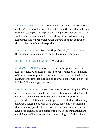ANNE CAROLYN KLEIN: As I contemplate the dichotomy of all the challenges we have that can obstruct us, and the fact that in terms of treading the path we're probably doing pretty well and are very well served, I am reminded of something I just read from Longchenpa: the fact of primordial buddhanature does not contradict the fact that there's much to purify.

LARRY MERMELSTEIN: Trungpa Rinpoche said, "I have achieved the bhumi of patience due to the kindness of my students."

#### DZOGCHEN PONLOP RINPOCHE: Wonderful!

ANNE CAROLYN KLEIN: Another of the challenges is that we're householders, by and large. There are constraints on the amount of time we have to practice. How much time is needed? Will a few short, intense retreats ever add up to what people were able to do in Tibet? That's a huge question.

LARRY MERMELSTEIN: Indeed, the cultural context is quite different. And sometimes people have expectations about what kind of context is needed. For example, because of the importance of the guru–student relationship in Vajrayana, some students think they should be hanging out with their gurus. Yet we have something that is in a way parallel to that. We have so many books now that have been translated and commented on. These translations are careful and well researched. And the teachings, including video,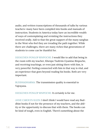audio, and written transcriptions of thousands of talks by various teachers—many have been compiled into books and manuals of instruction. Students in America today have an incredible wealth of ways of contemplating and revisiting the instructions they received orally. Add to that the great support of the many sanghas in the West who feel they are treading the path together. While there are challenges, there are many riches that generations of students to come can be thankful for.

DZOGCHEN PONLOP RINPOCHE: I would like to add that being in the room with my teacher, Khenpo Tsultrim Gyamtso Rinpoche, and receiving teachings, or even just sitting there with him, is very powerful. Feeling connected with him in that way is vital, and an experience that goes beyond reading his books. Both are very important.

BUDDHADHARMA: The transmission quality is essential to Vajrayana.

DZOGCHEN PONLOP RINPOCHE: It certainly is for me.

ANNE CAROLYN KLEIN: I don't think I would have read any Buddhist books if not for the presence of my teachers, and the ability or the opportunity to discuss that with them. The books can be kind of tough, even in English. There's something about the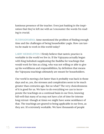luminous presence of the teacher. Even just basking in the inspiration that they've left me with as I encounter the words I'm reading is crucial.

BUDDHADHARMA: Anne mentioned the problem of finding enough time and the challenges of being householder yogis. How can tantra be made to work in this world today?

LARRY MERMELSTEIN: I firmly believe that tantric practice is workable in the world we live in. If the Vajrayana actually began with King Indrabuti supplicating the Buddha for teachings that would work for him as a king, who was not willing or able to give up his worldliness and responsibilities, by definition that means the Vajrayana teachings ultimately are meant for householders.

Our world is moving a lot faster than it probably was back in those days and so, yes, the stresses and complexities seem to be much greater than centuries ago. But so what? The very choicelessness of it is good for us. We have to do everything we can to incorporate the teachings on a continual basis in our lives, knowing full well that many of us may not have a lot of time for intense long retreat—though at times we might have some semblance of that. The teachings are geared to being applicable in our lives, as they are. It's extremely workable. We have thousands of people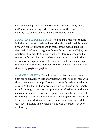currently engaged in that experiment in the West. Many of us, as Rinpoche was saying earlier, do experience the frustration of wanting it to be better, but that is the essence of path.

DZOGCHEN PONLOP RINPOCHE: The Buddha's response to King Indrabuti's request clearly indicates that the tantric path is meant primarily for lay practitioners. In many of the mahasiddha stories, their families also begin to thoroughly engage in a Vajrayana practice. They manifest in many walks of life: as a carpenter, bartender, or farmer like Marpa. Khenpo Rinpoche has taught that it is primarily a yogi tradition. Of course we can be monastic yogis, but in many ways these methods are more suitable for lay practitioners, lay yogis and yoginis.

ANNE CAROLYN KLEIN: Even if we feel that tantra is a workable path for householder yogis and yoginis, we still need to work with time management. It helps if we can constantly reflect on what is meaningful in life, and how precious time is. That is an extremely significant ongoing support for practice. It refreshes us. In the end almost any amount of practice is going to be beneficial. It's not all or nothing. There's a black-and-white thinking that can intrude. If I can't be the next Milarepa, why bother? It's always worthwhile to do what is possible and we need to get over the superstar, overachiever syndrome.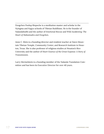Dzogchen Ponlop Rinpoche is a meditation master and scholar in the Nyingma and Kagyu schools of Tibetan Buddhism. He is the founder of Nalandabodhi and the author of *Emotional Rescue* and *Wild Awakening: The Heart of Mahamudra and Dzogchen.*

Anne C. Klein is a founding director and resident teacher at Dawn Mountain Tibetan Temple, Community Center, and Research Institute in Houston, Texas. She is also professor of religious studies at Houston's Rice University and the author of *Heart Essence of the Great Expanse: A Story of Transmission*.

Larry Mermelstein is a founding member of the Nalanda Translation Committee and has been its Executive Director for over 40 years.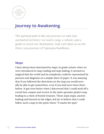

## **Journey to Awakening**

The spiritual path is like any journey we take into uncharted territory—we need a map, a vehicle, and a guide to reach our destination. Judy Lief takes us on the three-yana journey of Vajrayana Buddhism.

#### **Maps**

I have always been fascinated by maps. In grade school, when we were introduced to map reading and map making, it seemed so magical that the world and its complexity could be represented by pictures and diagrams on a simple sheet of paper. It was amazing that if you followed the directions on the map you would actually be able to get somewhere, even if you had never been there before. It got even better when I discovered that I could send off a cereal-box coupon and receive in the mail a genuine pirate's map leading to a chest of buried treasure. These sepia maps, ancient looking and burned on the edges, led me to believe that I could follow such a map to the point where "X marks the spot."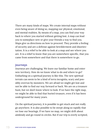There are many kinds of maps. We create internal maps without even being aware of doing so, mapping our physical, emotional, and mental realities. By means of a map, you can find your way back to where you started without getting lost. A map can lead you to someplace new or give your friends a way to find you. Maps give us directions on how to proceed. They provide a feeling of security and are a defense against bewilderment and disorientation. It is a relief to be able to look at a map and see where you are. It is a relief to know that you are somewhere specific, that you came from somewhere and that there is somewhere to go.

#### **Journeys**

Journeys are challenging. We leave our familiar home and enter new territory. How do we know what to do and where to go? Embarking on a spiritual journey is like this. The new spiritual terrain can seem to be a kind of terra incognita, scary and possibly overrun by monsters. We are afraid we might get lost and not be able to find our way forward or back. We are on a treasure hunt, but we don't know where to look. If we have the right map, we might be able to find that buried treasure, even if it has been underground for many years.

On the spiritual journey, it is possible to get stuck and not really go anywhere. It is also possible to be swept along so rapidly that we lose our bearings. If we have no map, we might drift about aimlessly and go round in circles. But if our trip is overly scripted,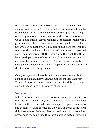there will be no room for personal discoveries. It would be like signing up for a package tour in which every point of interest has been spelled out in advance. So we need the right kind of map, one that gives us a sense of direction and an overview of where we are going but also leaves room for us to explore. Along with a general map of the territory, we need a good guide for our journey who can point the way. This guide should have explored the region so thoroughly that he or she no longer needs an external map. Their familiarity with the terrain is so thorough that they have developed a kind of internal map, like an inner instinctual compass. But although they no longer need a map themselves, such guides recognize the value of maps for newcomers, as well as the limitations of relying on maps.

On my own journey, I have been fortunate to encounter both a guide and a map. In my case, the guide is the late Chögyam Trungpa Rinpoche, the terrain is Vajrayana Buddhism, and the map is the teachings on the stages of the path.

#### **Vehicles**

In the Vajrayana tradition, one's journey can be described in terms of three main vehicles, or yanas. The first is the path of individual liberation, the second is the Mahayana path of greater openness and compassion, and the third is the Vajrayana path of indestructible wakefulness. Each yana has its own integrity and completeness, and at the same time they form a unified system. Although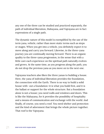any one of the three can be studied and practiced separately, the path of individual liberation, Mahayana, and Vajrayana are in fact expressions of a single path.

The dynamic nature of this model is exemplified by the use of the term yana, vehicle, rather than more static terms such as steps or stages. When you get into a vehicle, you definitely expect it to move along and carry you forward. Likewise, in the three-yana journey you are continually moving forward. There is an organic quality to the three-yana progression, in the sense that with a little care each experience on the spiritual path naturally evolves and grows. At the same time, as you progress along the path, you do not drop the previous yana as you move on to the next one.

Vajrayana teachers also liken the three yanas to building a house. Here, the yana of individual liberation provides the foundation, the connection with the Earth. There is no way to build a solid house with- out a foundation—it is what you build first, and it is the ballast or support for the whole structure. But a foundation alone is not a house; you need walls and windows and doors. This is like the Mahayana, for it provides the possibility of hospitality and a means of communication and exchange with the world. And finally, of course, you need a roof. You need shelter and protection and the kind of adornment that brings the whole picture together. That roof is the Vajrayana.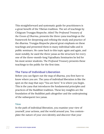This straightforward and systematic guide for practitioners is a great benefit of the Tibetan tradition. The set of teachings by Chögyam Trungpa Rinpoche, titled *The Profound Treasury of the Ocean of Dharma*, presents the three-yana teachings as the framework for deepening and refining the study and practice of the dharma. Trungpa Rinpoche placed great emphasis on these teachings and presented them in many individual talks and in public seminars. He came back to this topic again and again, and most notably, he used the three yanas as the structure for every one of the three-month-long Vajradhatu Seminaries he led for his most senior students. *The Profound Treasury* presents these teachings to the public for the first time.

#### **The Yana of Individual Liberation**

Before you can figure out the map of dharma, you first have to know where you are. The yana of individual liberation is like the spot on the map that says "You are here." It is where you begin. This is the yana that introduces the fundamental principles and practices of the Buddhist tradition. These key insights are the foundation of the Buddhist path altogether and the underpinning of the subsequent two yanas.

#### **View**

In the path of individual liberation, you examine your view of yourself, your actions, and the world around you. You contemplate the nature of your own identity and discover that your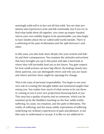seemingly solid self is in fact not all that solid. You see that sensations and experiences arise and fall continually, but if you try to find what holds them all together, you come up empty-handed. And as your own solidity begins to be questionable, you also begin to have doubts about the so-called solid world outside. There is a softening of the pain of alienation and the split between I and other.

In this yana, you also look more deeply into your actions and habits and their consequences. You examine the attitudes and actions that have brought you up to this point and take a hard look at where they will inevitably lead you in the future. You gain respect for how small actions can have big effects. By looking closely into these patterns, you can distinguish where and why you are stuck and where and how there might be openings for change.

This is the yana of personal responsibility. You begin to see your own role in creating the thought habits and emotional tangles that entrap you. You realize how much of what seems to be out there or coming at you is your own projections bouncing back at you. This yana has a quality of purity and no nonsense, which can be summed up by the Buddha's teaching on the four noble truths: suffering, its cause, its cessation, and the path to liberation. The reality of suffering, and the many subtle expressions of suffering underlying our ordinary experiences of pain and pleasure, is not that easy to understand or accept. It is like we are addicted to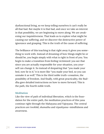dysfunctional living, so we keep telling ourselves it can't really be all that bad. But maybe it is that bad, and once we take an interest in that possibility, we are beginning to move along. We are awakening our inquisitiveness. That leads us to explore what might be causing our suffering, and we discover the destructive power of ignorance and grasping. This is the truth of the cause of suffering.

The brilliance of this teaching is that right away it gives you something to work with. Instead of dreaming of how things might be or should be, you begin simply with what is right in front of you. You begin to make a transition from feeling victimized: you see that since you are actually responsible for your situation, you yourself can change it. So instead of despairing that "you made your bed, now lie in it," it is more like "you made your bed, so you can unmake it as well." This is the third noble truth—cessation, the possibility of freedom. And finally, with great practicality, the Buddha gave detailed instructions on how to move forward. This is the path, the fourth noble truth.

#### **Meditation**

Like the view of path of individual liberation, which is the foundation for the entire path, the meditation practices of this yana continue right through the Mahayana and Vajrayana. The central practices are twofold, *shamatha* and *vipashyana*—mindfulness and awareness.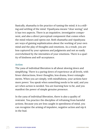Basically, shamatha is the practice of taming the mind; it is a stilling and settling of the mind. Vipashyana means "clear seeing," and it has two aspects. There is an inquisitive, investigative component, and also a direct perceptual component that comes when the mind relaxes and opens out. Both shamatha and vipashyana are ways of gaining sophistication about the working of your own mind and the play of thoughts and emotions. As a result, you are less captured by your opinions and judgments and not so easily overwhelmed by the intensities of your emotions. There is a quality of kindness and self-acceptance.

#### **Action**

The yana of individual liberation is all about slowing down and simplifying. There is a paring down of experience at all levels, with fewer distractions, fewer thoughts, less drama, fewer entanglements. When you act simply, with mindfulness, your actions have more power. You speak when something needs to be said, and you act when action is needed. You are learning how to be, and you manifest the power of simple genuine presence.

In the yana of individual liberation, there is also a quality of restraint. You practice the discipline of refraining from harmful actions. Because you are less caught in speediness of mind, you can recognize the arising of impulsive, negative action and nip it in the bud.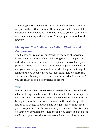The view, practice, and action of the path of individual liberation set you on the path of dharma. They help you build the mental, emotional, and meditative health you need to grow in your dharmic understanding and realization. They prepare you well for the journey.

#### **Mahayana: The Bodhisattva Path of Wisdom and Compassion**

The Mahayana is a natural outgrowth of the yana of individual liberation. It is the simplifying and paring down of the path of individual liberation that makes the expansiveness of Mahayana possible. Doing the hard work of investigating your own nature and your preconceptions about the world changes you in significant ways. You become more self-accepting, gentler, more real and genuine. When you have become a better friend to yourself, you are ready to be a better friend to others.

#### **View**

In the Mahayana you see yourself as inextricably connected with all other beings, and because of that your individual path expands and broadens. Your training in the yana of individual liberation has brought you to the point where you sense the underlying inclination of all beings to awaken, and you gain more confidence in your own potential. At the same time, you recognize that focusing on your own development is not enough. You cannot be free from suffering if you know that others around you are still suffering.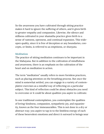So the awareness you have cultivated through sitting practice makes it hard to ignore the suffering of others, and it gives birth to greater empathy and compassion. Likewise, the silence and stillness cultivated in your shamatha practice gives birth to a sense of vastness, openness, and continual expansion. This wideopen quality, since it is free of deception or any boundaries, concepts, or limits, is referred to as emptiness, or *shunyata*.

#### **Meditation**

The practice of sitting meditation continues to be important in the Mahayana. But in addition to the cultivation of mindfulness and awareness, there is an emphasis on the cultivation of the heart and on meditation in action.

The term "meditation" usually refers to more formless practices, such as placing attention on the breathing process. But once the mind is somewhat settled, you can engage in a variety of contemplative exercises as a mindful way of reflecting on a particular subject. This kind of reflection could be about obstacles you need to overcome or it could be about qualities you aspire to cultivate.

In one traditional contemplation, you contemplate the qualities of loving-kindness, compassion, sympathetic joy, and equanimity, known as the four immeasurables. This is not done in a dry or abstract way; you aspire to tap in to the limitless energy of each of these benevolent emotions and direct it outward to beings near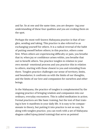and far. So at one and the same time, you are deepen- ing your understanding of these four qualities and you are evoking them on the spot.

Perhaps the most well-known Mahayana practice is that of tonglen, sending and taking. This practice is also referred to as exchanging yourself for others. It is a radical reversal of the habit of putting oneself before others; in this practice, others come first. When others are experiencing difficulty or pain, you breathe that in; when joy or confidence arises within, you breathe that out to benefit others. You practice tonglen in relation to your own mental- emotional process and you practice this in relation to others, starting with those closest to you and extending from there. Tonglen practice challenges our sense of territory, limits, and boundaries; it confronts us with the limits of our thoughts, and the limits of our love and compassion for ourselves and other beings.

In the Mahayana, the practice of tonglen is complemented by the ongoing practice of bringing wisdom and compassion into our ordinary, everyday encounters. This is called meditation in action. Formal practices are like basic training, but the test of that training is how it manifests in your daily life. It is easy to be compassionate in theory, but putting it into practice is not so easy. So along with tonglen practice, you can work with a set of Mahayana slogans called *lojong* (mind training) that serve as pointed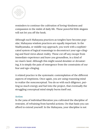

reminders to continue the cultivation of loving-kindness and compassion in the midst of daily life. These powerful little slogans will not let you off the hook.

Although such Mahayana practices as tonglen have become popular, Mahayana wisdom practices are equally important. In the Madhyamaka, or middle way approach, you work with a sophisticated system of logical reasonings to deconstruct your ego-clinging and fixed views about reality. These cut off any escape from immediate experience and leave you groundless, in a kind of no-man's-land. Although this might sound desolate or devastating, it is simply the pain of emergence from the constraints of our fear and ego-clinging.

A related practice is the systematic contemplation of the different aspects of emptiness. Once again, you are using reasoning mind to realize the nonconceptual. You do so with such diligence, putting so much energy and fuel into the project, that eventually the struggling conceptual mind simply burns itself out.

#### **Action**

In the yana of individual liberation you cultivated the discipline of restraint, of refraining from harmful actions. On that basis you can afford to extend yourself. In the Mahayana, your discipline is not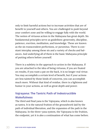only to limit harmful actions but to increase activities that are of benefit to yourself and others. You are challenged to push beyond your comfort zone and be willing to engage fully with the world. The notion of virtuous action in the Mahayana has great depth. Six fundamental principles serve as guidelines: generosity, discipline, patience, exertion, meditation, and knowledge. These are known as the six transcendent perfections, or *paramitas*. There is constant interplay among these six and a variety of checks and balances. And underlying all of them is the basic Mahayana principle of putting others before yourself.

There is a subtlety in the approach to action in the Mahayana. If you are attached to the idea of being virtuous, if you are fixated on results, if you want a pat on the back, it is no longer real virtue. You may accomplish a certain level of benefit, but if your actions are less tainted by those kinds of concerns, you can accomplish much more. Without that kind of residue, there is a lightness and humor in your actions, as well as great depth and power.

#### **Vajrayana: The Tantric Path of Indestructible Wakefulness**

The third and final yana is the Vajrayana, which is also known as tantra. It is the natural fruition of the groundwork laid by the path of individual liberation, and the expansion of the path in the Mahayana. In the three-yana system, the Vajrayana is the fruition, the endpoint, yet it is also a continuation of what has come before.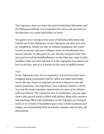The Vajrayana does not leave the path of individual liberation and the Mahayana behind; it incorporates the views and practices of the previous two yanas and builds on them.

You gather your energy in the yana of individual liberation and extend out in the Mahayana. In the Vajrayana you dive into reality completely. When you dive in without hesitation, the world is seen as sacred, and your ordinary vision is transformed into sacred outlook. At this point you are already steeped in the view and practices of the buddhadharma, so the time has come to fully manifest what you have learned. It is the Vajrayana that shows you how to do that, and so it is known as the yana of skillful means.

#### **View**

In the Vajrayana your view is expansive. It is as if you have been trudging along a mountain trail for miles and miles and finally reach the top, where at long last you have a chance to see the entire panorama. You experience your ordinary world in a fresh way and the most mundane experiences are seen to be infused with sacredness. The Vajrayana view is nontheistic, yet you experience this sacred world as filled with deities, filled with teachers and teaching, filled with symbolism. In the Vajrayan you being to touch in to a realm of boundless space that is both luminous and empty, accommodating birth and death, samsara and nirvana, all phenomena.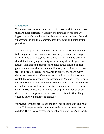#### **Meditation**

Vajrayana practices can be divided into those with form and those that are more formless. Naturally, the foundation for embarking on these advanced practices is your training in shamatha and vipashyana, and in the Mahayana mind training and compassion practices.

Visualization practices make use of the mind's natural tendency to form pictures. In visualization practice you create an image in your mind of a deity, and you evoke the wisdom and power of that deity, identifying the deity with those qualities in your own nature. Visualization practices are done in the context of liturgies, or *sadhanas*, that include meditation, the recitation of mantras, and ritual gestures, or *mudras*. In tantra, there are many deities representing different types of realization. For instance, Avalokiteshvara represents compassion and Manjushri represents wisdom. However, it is important to understand that these deities are unlike more well-known theistic concepts, such as a creator God. Tantric deities are luminous yet empty, and they arise and dissolve out of emptiness in the process of visualization. They embody our own enlightened nature.

Vajrayana formless practice is the epitome of simplicity and relaxation. This experience is sometimes referred to as being like an old dog. There is a carefree, confident, and nonstriving approach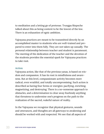to meditation and a letting go of pretense. Trungpa Rinpoche talked about this as being content to be the lowest of the low. There is an exhaustion of egoic ambition.

Vajrayana practices are meant to be transmitted directly by an accomplished master to students who are well-trained and prepared to enter into them fully. They are not taken up casually. The personal relationship between teacher and student is paramount. The meeting of the dedication of the teacher and the devotion of the students provides the essential spark for Vajrayana practices to take root.

#### **Action**

Vajrayana action, like that of the previous yanas, is based on wisdom and compassion. It has its root in mindfulness and awareness. But at this level, compassionate activity becomes more radical, even wrathful, and totally uncompromising. Such action is described as having four forms or energies: pacifying, enriching, magnetizing, and destroying. There is a no-nonsense approach to obstacles, and a determination to clear away fearlessly anything that threatens to undermine one's progress on the path to the realization of the sacred, wakeful nature of reality.

In the Vajrayana we recognize that physical gestures, sounds and utterances, and thoughts are all gateways to awakening and should be worked with and respected. We see that all aspects of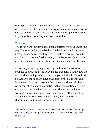our experience, and the environment as a whole, are workable on the path to enlightenment. The Vajrayana is a complete world. Once you enter it, every action becomes a message of the teaching. There is no boundary and nowhere to hide.

#### **Treasure**

The three-yana journey I have been describing is not a linear journey. You repeatedly circle back to the beginning and start over again. Each time you think you have reached a break- through, you find that there is further to go, and it becomes clear that an accomplishment at one level can become an obstacle at the next.

However, you keep going, drawn by the lure of the treasure, the promise of awakening, the yearning for freedom. If you follow the map with enough persistence, maybe you will find it. There it will be: X marks the spot. Or maybe the search itself is the treasure. Maybe you have been carrying the treasure with you all along. A key aspect of Mahayana practice is that you continually bring compassion and wisdom into balance. There is no real wisdom without compassion, and no real compassion without wisdom. Fundamentally the two are inseparable, but it is possible to lose that balance, so it must continually be restored.

Judy Lief is a Buddhist teacher and the editor of many books of teachings by the late Chögyam Trungpa Rinpoche. She is the author of *Making Friends with Death*.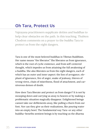### **Oh Tara, Protect Us**

Vajrayana practitioners supplicate deities and buddhas to help clear obstacles on the path. In this teaching, Thubten Chodron comments on a prayer to the *buddha* Tara to protect us from the eight dangers.

Tara is one of the most beloved buddhas in Tibetan Buddhism. Her name means "the liberator." She liberates us from ignorance, which is the root of cyclic existence, and from self-centered thought, which impedes us from attaining the full awakening of a buddha. She also liberates us from the eight dangers, each of which has an outer and inner aspect: the lion of arrogance, elephant of ignorance, fire of anger, snake of jealousy, thieves of wrong views, chain of miserliness, flood of attachment, and carnivorous demon of doubt.

How does Tara liberate and protect us from danger? It is not by swooping down and carrying us away to heaven or by making a problematic situation magically disappear. Enlightened beings cannot take our defilements away, like pulling a thorn from our foot. Nor can they give us their realizations, like pouring water into an empty bowl. The fundamental way Tara—or any other buddha—benefits sentient beings is by teaching us the dharma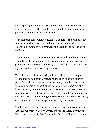and inspiring us to investigate its meaning so we reach a correct understanding. She then guides us in meditation practice so we generate transformative realizations.

Through practicing what we learn, we generate the wisdom that realizes emptiness, and through meditating on emptiness, we cleanse our minds of defilements and actualize the cessation of suffering.

When requesting Tara to free us, we are actually calling upon our inner Tara—the seeds of our own wisdom and compassion. As we gradually cultivate these qualities, they protect us from the damage inflicted by the disturbing emotions.

Tara liberates us by embodying all the realizations of the path. Visualizing her emerald-green form made of light, we contemplate the path and internalize its meaning, as each aspect of her form represents an aspect of the path to awakening. Tara also liberates us by being a role model. Formerly a princess who was told to pray to be reborn as a man, she attained full awakening in a woman's body, encouraging us to overcome whatever prejudice, discrimination, or discouragement we may encounter.

The following verses requesting Tara to protect us from the eight dangers are from "A Crown Ornament for the Wise," a hymn to Tara composed by Gyalwa Gendun Drubpa, the First Dalai Lama.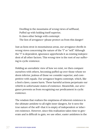Dwelling in the mountains of wrong views of selfhood, Puffed up with holding itself superior, It claws other beings with contempt: The lion of arrogance—please protect us from this danger!

Just as lions strut in mountainous areas, our arrogance dwells in wrong views concerning the nature of the "I" or "self." Although the "I" is dependent, ignorance apprehends it as existing independent of all other factors. This wrong view is the root of our suffering in cyclic existence.

Holding an unrealistic view of how we exist, we then compare ourselves with others, becoming puffed up over those whom we deem inferior, jealous of those we consider superior, and competitive with equals. Our arrogance begets contempt, which, like a lion's claws, causes harm. These harmful actions perpetuate our rebirth in unfortunate states of existence. Meanwhile, our arrogance prevents us from recognizing our predicament in cyclic existence.

The wisdom that realizes the emptiness of inherent existence is the ultimate antidote to all eight inner dangers, for it sees the true nature of the self—that it is empty of independent or inherent existence. However, since this realization takes time to generate and is difficult to gain, we use other, easier antidotes in the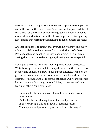meantime. These temporary antidotes correspond to each particular affliction. In the case of arrogance, we contemplate a difficult topic, such as the twelve sources or eighteen elements, which is essential to understand but difficult to comprehend. Recognizing how limited our current understanding is makes us less arrogant.

Another antidote is to reflect that everything we know and every talent and ability we have comes from the kindness of others. People taught and coached us; they encouraged us in all areas. Seeing this, how can we be arrogant, thinking we are so special?

Bowing to the three jewels further helps counteract arrogance. While bowing, we contemplate the qualities of the three jewels so respect and admiration grow in our minds. Physically lying on the ground with our face on the floor induces humility and the relinquishing of ego, making us receptive students. Our heart becomes lighter; we are able to laugh at our foibles, and we are no longer fearful of others "finding us out."

Untamed by the sharp hooks of mindfulness and introspective awareness,

- Dulled by the maddening liquor of sensual pleasures,
- It enters wrong paths and shows its harmful tusks:
- The elephant of ignorance—protect us from this danger!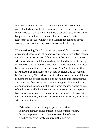Powerful and out of control, a mad elephant terrorizes all in its path. Similarly, uncontrolled emotions, which stem from ignorance, lead to a chaotic life that lacks clear priorities. Intoxicated by ignorant attachment to sense pleasures, we do whatever is necessary to procure what we seek. Ignorance takes us down wrong paths that lead only to confusion and suffering.

When petitioning Tara for protection, we call forth our own powers of mindfulness and introspective awareness, two active mental factors that perform special functions in the mind. Like a tamer who knows how to subdue a wild elephant and harness its energy for constructive purposes, these mental factors lead us to ethical behavior and meditative concentration. The Sanskrit word that is translated as "mindfulness" can also be translated as "remember" or "memory." So with respect to ethical conduct, mindfulness remembers our precepts and holds our values, and introspective awareness enables us to see if we are living within them. In the context of meditation, mindfulness is what focuses on the object of meditation and holds it so it is not forgotten, and introspective awareness is like a spy—a corner of our mind that investigates whether distraction, dullness, or excitement has set in, interfering with our meditation.

Driven by the wind of inappropriate attention, Billowing forth swirling smoke—clouds of misconduct, It has the power to burn down forests of goodness: The fire of anger—protect us from this danger!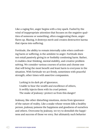Like a raging fire, anger begins with a tiny spark. Fueled by the wind of inappropriate attention that focuses on the negative qualities of someone or something, often exaggerating them, anger flares up. Blazing, it destroys merit and creates destructive karma that ripens into suffering.

Fortitude, the ability to remain internally calm when confronting harm or suffering, is the antidote to anger. Fortitude does not entail passively giving in or foolishly condoning harm. Rather, it enables clear thinking, mental stability, and creative problem solving. We consider various courses of action and choose one that will bring the most benefit and least harm to everyone in the situation. With fortitude we act firmly, sometimes with peaceful strength, other times with assertive compassion.

Lurking in its dark pit of ignorance, Unable to bear the wealth and excellence of others, It swiftly injects them with its cruel poison: The snake of jealousy—protect us from this danger!

Jealousy, like other disturbing emotions, stems from ignorance of the nature of reality. Like a snake whose venom kills a healthy person, jealousy poisons the happiness and goodness of ourselves and others. Overcome by jealousy, we try to demolish the happiness and success of those we envy. But ultimately such behavior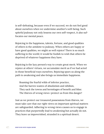is self-defeating, because even if we succeed, we do not feel good about ourselves when we undermine another's well-being. Such spiteful jealousy not only lessens our own self-respect, it also suffocates our mental peace.

Rejoicing in the happiness, talents, fortune, and good qualities of others is the antidote to jealousy. When others are happy or have good qualities, we might as well rejoice! There is so much suffering in the world; it would be foolish to wish that others be deprived of whatever happiness they have.

Rejoicing is the lazy person's way to create great merit. When we rejoice at others' virtues, we accumulate merit as if we had acted in those beneficial ways ourselves. Rejoicing spurs us along the path to awakening and also brings us immediate happiness.

Roaming the fearful wilds of inferior practice, And the barren wastes of absolutism and nihilism, They sack the towns and hermitages of benefit and bliss: The thieves of wrong views—protect us from this danger!

Just as we protect our treasured possessions from thieves, we must take care that our right views on important spiritual matters are safeguarded. Adhering to wrong views causes us to engage in practices that purportedly lead to awakening but actually do not. They leave us impoverished, stranded in a spiritual desert.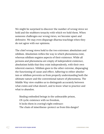We might be surprised to discover the number of wrong views we hold and the stubborn tenacity with which we hold them. When someone challenges our wrong views, we become upset and defensive. We may even disparage dharma teachings when they do not agree with our opinions.

The chief wrong views hold to the two extremes: absolutism and nihilism. Absolutism reifies the way in which phenomena exist, whereas nihilism negates aspects of their existence. While all persons and phenomena are empty of independent existence, absolutism holds that they exist independently, with their own inherent essence. Nihilism goes to the other extreme, disparaging the functioning of cause and effect. Adhering to either absolutism or nihilism prevents us from properly understanding both the ultimate nature and the conventional nature of phenomena. The Middle Way view enables us to distinguish accurately between what exists and what doesn't, and to know what to practice and what to abandon.

Binding embodied beings in the unbearable prison, Of cyclic existence with no freedom, It locks them in craving's tight embrace: The chain of miserliness—protect us from this danger!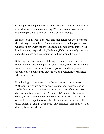Craving for the enjoyments of cyclic existence and the miserliness it produces chains us to suffering. We cling to our possessions, unable to part with them, and hoard our knowledge.

It's easy to think we're generous and magnanimous when we read this. We say to ourselves, "I'm not attached. I'd be happy to share whatever I have with others." But should somebody ask us for our lunch, we may respond, "No, I'm hungry!" Or if somebody took our shoes from outside the meditation hall, we would be upset.

Believing that possessions will bring us security in cyclic existence, we fear that if we give things to others, we won't have what we need. In fact, our miserliness keeps us bound in a prison of discontent. We constantly crave more and better, never satisfied with what we have.

Nonclinging and generosity are the antidotes to miserliness. With nonclinging we don't conceive of material possessions as a reliable source of happiness or as an indicator of success. We discover contentment, a rare "commodity" in our materialistic society. Contentment allows us to cultivate the love that wishes others to have happiness, which in turn stimulates the mind that takes delight in giving. Giving with an open heart brings us joy and directly benefits others.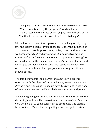

Sweeping us in the torrent of cyclic existence so hard to cross, Where, conditioned by the propelling winds of karma, We are tossed in the waves of birth, aging, sickness, and death: The flood of attachment—protect us from this danger!

Like a flood, attachment sweeps over us, propelling us helplessly into the stormy ocean of cyclic existence. Under the influence of attachment to people, possessions, praise, power, and reputation, we harm others to get what we want. Our destructive actions create conflict and leave karmic seeds that produce suffering later on. In addition, at the time of death, strong attachment arises and we cling to our body and life. When we realize we cannot hold on to them, attachment then grasps another body and life, and rebirth occurs.

The mind of attachment is narrow and limited. We become obsessed with the object of our attachment; we worry about not getting it and fear losing it once we have it. Drowning in the flood of attachment, we are unable to abide in satisfaction and peace.

We need a guiding star to find our way across the dark seas of the disturbing emotions. The Sanskrit noun tara means "star," and the verb trri means "to guide across" or "to cross over." The dharma is our raft, and Tara is the star guiding us across cyclic existence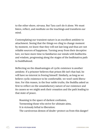to the other shore, nirvana. But Tara can't do it alone. We must listen, reflect, and meditate on the teachings and transform our mind.

Contemplating our transient nature is an excellent antidote to attachment. Seeing that the things we cling to change moment by moment, we know that they will not last long and thus are not reliable sources of happiness. Turning away from their deceptive lure, we have more time to familiarize our minds with bodhicitta and wisdom, progressing along the stages of the bodhisattva path to buddhahood.

Reflecting on the disadvantages of cyclic existence is another antidote. If a prisoner believes that prison life isn't that bad, he will have no interest in freeing himself. Similarly, as long as we believe cyclic existence to be comfortable, we won't seek liberation. For this reason, in the four noble truths, the Buddha asked us first to reflect on the unsatisfactory nature of our existence and its causes so we might seek their cessation and the path leading to that state of peace.

Roaming in the space of darkest confusion, Tormenting those who strive for ultimate aims, It is viciously lethal to liberation: The carnivorous demon of doubt—protect us from this danger!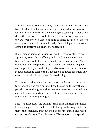There are various types of doubt, and not all of them are obstructive. The doubt that is curious and open-minded propels us to learn, examine, and clarify the meaning of a teaching; it aids us on the path. However, the doubt that dwells in confusion and leans toward wrong views causes our mind to spiral in circles of its own making and immobilizes us spiritually. Resembling a carnivorous demon, it destroys our chance for liberation.

If our mind is spinning in skeptical doubt, when we start to do a practice, we doubt its efficacy and quit doing it. Listening to teachings, we doubt their authenticity and stop attending. We doubt our ability to practice, the ability of our teacher to guide us, the possibility of awakening. Unable to resolve our doubts, we remain stuck and tormented. This demon of doubt obstructs our chance to attain liberation and full awakening.

To counteract doubt, we must first stop the flurry of contradictory thoughts and calm our mind. Meditating on the breath dispels discursive thoughts and focuses our attention. A settled mind can distinguish important issues that need consideration from nonsensical, doubting thoughts.

Next, we must study the Buddha's teachings and train our minds in reasoning so we are able to think clearly. In this way, we investigate the teachings, draw out their deeper meanings, and reach correct conclusions. For this reason, Tibetan monastics spend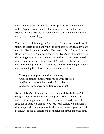years debating and discussing the scriptures. Although we may not engage in formal debate, discussing topics with dharma friends fulfills the same purpose. We can clarify what we believe and practice accordingly.

These are the eight dangers from which Tara protects us. In addition to meditating and applying the antidotes described above, we can visualize Tara in front of us. The green light radiating from her flows into us, filling our body/mind, purifying and eliminating the disturbing emotions and the destructive karma we have created under their influence. Tara's blissful green light fills the universe and all the beings within it, liberating them from the eight dangers and enhancing their love, compassion, and wisdom.

Through these praises and requests to you, Quell conditions unfavorable for dharma practice, And let us have long life, merit, glory, plenty, And other conducive conditions as we wish!

By meditating on Tara and applying the antidotes to the eight dangers in order to benefit all beings, we create tremendous merit. Directing how we want it to ripen, we then dedicate it: first, for all sentient beings to be free from conditions hindering dharma practice, such as poor health, poverty, and cynicism; and second, to meet all conditions conducive for actualizing the path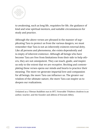

to awakening, such as long life, requisites for life, the guidance of kind and wise spiritual mentors, and suitable circumstances for study and practice.

Although the above verses are phrased in the manner of supplicating Tara to protect us from the various dangers, we must remember that Tara is not an inherently existent external deity. Like all persons and phenomena, she exists dependently and is empty of inherent existence. Although all beings who have become Tara are free from limitations from their side to help others, they are not omnipotent. They can teach, guide, and inspire us only to the extent that we are receptive. Reciting and contemplating these verses opens our minds and hearts to practice their meaning. The more we generate impartial love and compassion for all beings, the more Tara can influence us. The greater our wisdom of the ultimate nature, the more Tara can inspire us to deepen our realizations.

Ordained as a Tibetan Buddhist nun in 1977, Venerable THubten chodron is an author, teacher, and the founder and abbess of Sravasti Abbey.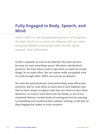## **Fully Engaged in Body, Speech, and Mind**

Anne C.Klein on the foundational practices of Dzogchen, through which we can meet the dharma with our entire being and dissolve conceptual mind into the "great expanse" that is liberation.

Is there a paradox at work in the dharma? We enter practice because we want something—peace, liberation, openhearted presence. We learn that in order to get these we must do certain things. So we make effort. But we cannot really accomplish what we wish through effort. Effort can even be an obstacle.

We want the most profound, most penetrating, most efficacious practices, and we want them so much and in such habitual ways that we don't always recognize what they are when we have them. Moreover, we tend to want them with our heads, or out of our emotional distress. Certain kinds of wanting prevent our opening to something more profound than ordinary wanting, to the kind of deep longing that makes us truly receptive.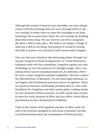Although this tension is natural, even inevitable, our most vibrant contact with the teachings does not occur through effort or narrow wanting. It comes when we meet the teachings in our body and being with an open heart-mind. We can't actually do anything about this tricky setup. We can, however, sit with it and gradually allow a shift to take place. This shift is not simply a change of ideas but a shift in our being. And practice is crucial for setting this shift in motion, even if practice itself cannot make it happen.

One can look more closely at this interesting matter through noting how Dzogchen ("Great Completeness" or "Great Perfection") traditions work with this conundrum. Dzogchen equates any type of thinking, or even the presence of a thought-image, with a conceptual mind. And all conceptual minds are, by definition, effortful. Such a mind, Dzogchen teachers emphasize, will never contact the effortless state of liberation. Yet one must begin somehow, so one begins with foundational practices, known as ngöndro. These are practices that have traditionally provided entry to, and a vital foundation for, Dzogchen and other tantric paths. Looking closely at a few elements of these practices, we find crucial clues on how to meet the tricky situation of effort and non-effort, which affects practitioners across a broad band of traditions.

Clues to the release of the apparent paradox of effort come not only in the practices designed to melt away conception, but also in profound stories about the transmission of those practices.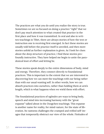The practices are what you do until you realize the story is true. Sometimes we are so focused on doing a practice "right" that we don't pay much attention to what created that practice in the first place and how it was transmitted. In oral and also in written teachings in Tibet, there are always stories of how the text or instruction one is receiving first emerged. In fact these stories are usually told before the practice itself is unveiled, and then more stories unfold as further explanation is given. As I look for clues about the deep structure of practice, I find these stories profoundly instructive. They have helped me begin to untie the paradoxical knot of effort and letting be.

These stories speak deeply to the entire dimensions of body, mind and energy. Therefore, they connect directly to foundational practices. This is important to the extent that we are interested in discovering how we can meet the teachings with our being rather than with our usual wanting self. In other words, how we can absorb practices into ourselves, rather than holding them at arm's length, which is what happens when we wield them with effort.

The foundational practices of ngöndro are ways to bring body, speech and mind into increasing harmony with the "great expanse" talked about in the Dzogchen teachings. This expanse is another name for reality, for mind-nature, for the state of liberation. Its vastness challenges the cramped and reified self-images that temporarily obstruct our view of the whole. Finitudes of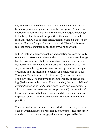any kind—the sense of being small, contained, an urgent rush of business, passions or plans—are simply conceptions. These conceptions are both the cause and the effect of energetic holdings in the body. The foundational practices illuminate these holdings and, finally, lead to their dissolution into that expanse. As my teacher Khetsun Sangpo Rinpoche has said, "Like a fire burning fuel, the mind consumes conception by working with it."

In the Tibetan traditions, teaching and practice sessions typically open with a reference to the foundational practices. Every lineage has its own variations, but the basic structure and principles of ngöndro are virtually identical across the Tibetan systems. The sequence usually begins, after an acknowledgement of one's guru or lineage and the intention to benefit all beings, with the Four Thoughts. These four are reflections on (1) the preciousness of one's own life, (2) its fragility and the uncertainty of death's timing, (3) the inexorable nature of karma, and (4) the impossibility of avoiding suffering so long as ignorance keeps one in samsara. In addition, there are two other contemplations: (5) the benefits of liberation compared to life in samsara and (6) the importance of a spiritual guide. These six are known as the outer foundational practices.

These six outer practices are combined with five inner practices, each of which needs to be repeated 100,000 times. The first inner foundational practice is refuge, which is accompanied by the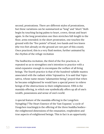second, prostrations. There are different styles of prostrations, but these variations can be summarized as "long" and "short." Both begin by touching facing palms to heart, crown, throat and heart again. In the long prostration one then stretches full-length to the floor, arms extended; in the short prostration, one touches the ground with the "five points" of head, two hands and two knees (the two feet already on the ground are not part of this count). Once practiced, this is a very fluid motion, further animated by the rhythm of the refuge recitation

The bodhicitta recitation, the third of the five practices, is repeated so as to strengthen one's intention to practice with a mind expansive enough to encompass the welfare of all living beings. The fourth practice is that of the hundred-syllable mantra associated with the radiant white Vajrasattva. It is said that Vajrasattva, whose name means "adamantine being," prayed that when he became enlightened he would have a special power to relieve beings of the obstructions to their enlightenment. Fifth is the mandala offering, in which one symbolically offers up all of one's wealth, possessions and sense of one's world.

A special feature of the mandala offering in the Longchen Nyingthig ("The Heart Essence of the Vast Expanse," a cycle of Dzogchen teachings) is the offering of the three buddha bodies the enlightened dimensions of the emanation, resplendent and true aspects of enlightened beings. This in fact is an opportunity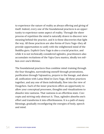to experience the nature of reality as always offering and giving of itself. Indeed, every one of the foundational practices is an opportunity to experience some aspect of reality. Through the sheer process of repetition the mind is naturally drawn to discover new meaning behind the practice, and it is these discoveries that light the way. All these practices are also forms of Guru Yoga—they all provide opportunities to unify with the enlightened mind of the Buddha guru. Explicit Guru Yoga is also a crucial practice, and while it is not technically considered ngöndro, practitioners also accumulate recitations of the Vajra Guru mantra, ideally ten million over one's lifetime.

The foundational practices thus combine mind-training through the four thoughts, surrendering oneself through prostrations, purification through Vajrasattva, prayers to the lineage, and above all, unification with Lama Mind in Guru Yoga. All these practices together, and any one of them individually, flow into the view of Dzogchen. Each of the inner practices offers an opportunity to allow your conceptual processes, thoughts and visualizations to dissolve into vastness. That vastness is an effortless state. Concepts and striving only obstruct it. Thus, ngöndro absorbs one's effort and transforms it into effortlessness. It is a path of many blessings, gradually reconfiguring the energies of body, speech and mind.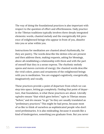The way of doing the foundational practices is also important with respect to the question of effort and effortlessness. Daily practice in the Tibetan traditions typically involves three deeply integrated elements: words, chanted melody and the energetically felt presence of enlightened beings who appear in front of you, dissolve into you or arise within you.

Instructions for meditation are chanted aloud rhythmically, for they are poetry. The words describe the deities who are present and then address them, making requests, asking for blessings, above all establishing a relationship with them and with the part of oneself that they in a sense express. The rhythmic melody opens and moves currents of energy; the chanted words describe the vivid colors, poses and ornaments of the enlightened beings with you in meditation. You are engaged cognitively, energetically, imaginatively and vocally.

These practices provide a point of departure from which we can step into space, letting go completely. Finding that point of departure, that foundation, is what these practices are about. Literally *ngöndro* means "that which goes before;" *ngön* in Tibetan means "before," and *dro* means "to go." So they are usually translated as "preliminary practices." This might be bad press, because most of us like to think of ourselves as sophisticated people who don't need preliminaries. It is also misleading, because it sounds like a kind of kindergarten, something you graduate from. But you never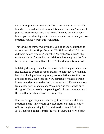leave these practices behind, just like a house never moves off its foundation. You don't build a foundation and then say, "Now we'll put the house somewhere else." Every time you walk into your house, you are standing on its foundation, and every time you do a practice, you do it from this foundation.

That is why no matter who you are, you do them. As another of my teachers, Lama Rinpoche, said, "His Holiness the Dalai Lama did them before receiving Longchen Nyingthig from Dilgo Khyentse Rinpoche. I'm a tulku, and I did foundational practices five times before I received Dzogchen." That's what practitioners do.

In talking this way, Lama Rinpoche was addressing a student who felt inclined to bypass the foundations. At some level, we all may have that feeling of wanting to bypass foundations. We think we are exceptional, our needs are very particular, we have certain innate qualities or experiences that put us in a different category from other people, and so on. Who among us has not had such thoughts? This is merely the pleading of ordinary, unaware mind, the one that practice dissolves—eventually.

Khetsun Sangpo Rinpoche, who taught me these foundational practices nearly thirty years ago, elaborates on them in a book of lectures given during his first visit to the United States in 1974. This book, called *Tantric Practice in Nyingma*, very clearly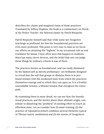#### describes the chants and imagined vistas of those practices. Translated by Jeffrey Hopkins, the book is a commentary on *Words of My Perfect Teacher*, the beloved classic by Patrül Rinopche.

Patrül Rinpoche himself said that while some see Dzogchen teachings as profound, for him the foundational practices are even more profound. This point is very easy to miss as we focus our efforts on attaining the "highest." In my occasional role as oral translator for lamas, I have often seen this happen to students. Mara has many clever devices, and the belief that one can judge these things by ordinary criteria is one of them.

The practices known as foundational—and too easily dismissed by the limited self as merely preliminary—are brilliantly designed to reveal that the self that grasps or disdains them is in profound tension with the awakened state from which the practices themselves emerge and to which they can open us. It is a fruitful, unavoidable tension, a blessed tension that energizes the entire path.

By examining them in more detail, we can see how the foundational practices, and the stories about their ultimate origin, contribute to dissolving the "problem" of needing effort to reach an effortless state. Let us consider how (1) mind-training, (2) the practice of Vajrasattva (which combines several elements typical of Tibetan tantric meditation) and (3) the stories of Dzogchen's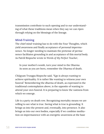transmission contribute to such opening and to our understanding of what these traditions mean when they say we can ripen through relying on the blessings of the lineage.

## **Mind-Training**

The chief mind-training has to do with the Four Thoughts, which yield awareness and finally acceptance of personal impermanence. No longer needing to maintain the pretense of permanence facilitates grounding in and acceptance of this mortal body. As Patrül Rinpoche wrote in *Words of My Perfect Teacher*,

In your mother's womb, turn your mind to the Dharma As soon as you are born, remember the Dharma of death.

Chögyam Trungpa Rinpoche said, "Ego is always wanting to achieve spirituality. It is rather like wanting to witness your own funeral." Remembering the dharma of death, as expressed in the traditional contemplation above, is the opposite of wanting to attend your own funeral. It is preparing to know the vastness from which we emerge.

Life is a party on death row. Recognizing mortality means we are willing to see what is true. Seeing what is true is grounding. It brings us into the present and, eventually, into presence. It also brings us into our own bodies, especially if we combine meditation on impermanence with an energetic awareness at the base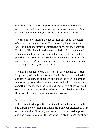of the spine. At first, the important thing about impermanence seems to be the limited time we have in this precious life. This is crucial and foundational, and yet it is not the whole story.

The teachings on impermanence are not only about the death of the self that never existed. Understanding impermanence, Khetsun Rinpoche says in commenting on *Words of My Perfect Teacher,* will lead you into the natural clarity of your own mind. The ideas of a finite self, ideas which initially make us want to practice, can dissolve. To know impermanence is thus not only a path to what Dzogchen traditions speak of as unbounded wholeness (*thigle nyag cig*) —it is also integral to it.

The mind grasping toward wholeness at the expense of "lesser" insights is profoundly mistaken, as it will discover through trial and error. It begins to approach and sense the charisma of that reality at the point when the teachings can begin to connect with something deeper than the usual self-state. Even at the very outset, what these practices themselves contain, like that for which they provide a foundation, is beyond expression.

#### **Vajrasattva**

In this visualization practice, we find all the melodic, kinesthetic and imaginative elements that help bring all your energies to bear on your practice. Physically you are seated in meditation posture and energetically you feel the chanting vibrate through your body,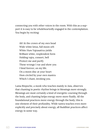connecting you with other voices in the room. With this as a support it is easy to be wholeheartedly engaged in the contemplation. You begin by reciting:

Ah! At the crown of my own head Wide white lotus, full moon orb White *Hum* Vajrasattva yields Brilliant white, resplendent form Holding vajra, consort, bell Protect me and purify These wrongs I rue and show you I bind forever, on my life. On a moon disc at your heart *Hum* circled by your own mantra Which I chant, invoking you.

Lama Rinpoche, a monk who teaches mainly in Asia, observes that chanting in poetic rhythm brings in blessings more strongly. Blessings are most certainly a kind of energetic coursing through the body, and chanting helps energy move more fluidly. All the foundational practices move energy through the body; this is one element of their profundity. While tantra teaches even more explicitly and precisely about energy, all Buddhist practices affect energy in some way.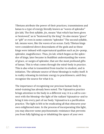Tibetans attribute the power of their practices, transmissions and lamas to a type of energy literally known as "waves of splendor" (*jin lab*). The first syllable, *jin*, means "that which has been given or bestowed," as in "bestowed by the king." *Jin* also means "grace" or "gift" or even in some contexts "splendor." The second syllable, *lab*, means wave, like the waves of an ocean. Early Tibetan kings were considered direct descendants of the gods and so these kings were imbued with supernatural qualities such as *jin*—pomp, splendor, magnificence. Thus, *jin lab*, which began as the splendor of kings, later became in Buddhist understanding the waves of grace, or surges of splendor, that are the most profound gifts of lamas. This is what comes through the mind-body in practice. This is also what is transmitted from teacher to student, and in initiation. The ultimate source of these blessings is reality itself. It is reality releasing its intrinsic energy to practitioners, until they recognize the source for what it is.

The importance of recognizing our precious human body in mind-training has already been noted. The Vajrasattva practice brings attention to the body in a different way; it is a call to connect with the blessing—the light of the radiant Vajrasattva—and to bring it into every part of our body. Vajrasattva is a purification practice. The light is felt to be eradicating all that obscures your own enlightened state. In the process of incorporating this light, you may discover some psychosomatic resistance that prevents you from fully lighting up or inhabiting the space of your own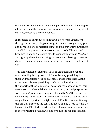body. This resistance is an inevitable part of our way of holding to a finite self, and the more we are aware of it, the more easily it will dissolve, revealing the vast expanse.

In response to our request, light flows down from Vajrasattva through our crown, filling our body; it courses through every pore and corpuscle of our material being, and fills our entire awareness as well. In the process, our coarse material body fills with and becomes light and Vajrsattva blends inseparably with us. We glow and light up the universe, giving and receiving blessings. Then we dissolve back into radiant emptiness and are present in a different way.

This combination of chanting, vivid imagination and cognitive understanding is very powerful. There is every possibility that these will transform your body, energy and mental state. At the same time, this very possibility can lure you into thinking that the important thing is what you do rather than how you are. This means you have been deluded into thinking your real purpose lies with training your usual, thought-full mind to "do" these practices well. But ego can't attend its own funeral any more than the ordinary self can experience enlightenment. Practice is about finding the fire that dissolves the self. It is about finding a way to leave the illusion of self behind and still be there. Illusion vanishes when, as in the Vajrasattva practice, we dissolve into the radiant expanse.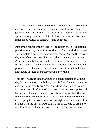Again and again in the course of these practices, we dissolve into and arise from this expanse. Every such dissolution and emergence is an opportunity to practice and learn about empty mindspace: the way emptiness relates to form, the way unconstructed inner space relates to constructs and concepts.

Part of the genius of the tradition is to repeat these foundational practices so many times. It is not that you finish with them when you complete a hundred thousand repetitions. You do them every day, even if you are the Dalai Lama. This is a daily practice. It just grows, especially if you are able to do some of these practices in retreat. To learn them is simple, and then they have unbelievable power, an effect you could not predict based just on intellectual knowledge of them or cursory dipping into them.

This power doesn't come through in a single session or a single day. It has a quality of unfolding, but this doesn't mean we always and only make steady progress toward the light. Bad days come in time, especially after good days. You don't just get happier and happier and happier. Seasoned practitioners know that. One way to conceptualize what occurs is that in practice we continually come up against who and what we are right now, and this is often at odds with the part of our being we are practicing to bring into manifestation. So I may sit down to become Vajrasattva, which is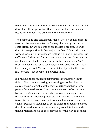really an aspect that is always present with me, but as soon as I sit down I feel the anger or fear that is most conflated with my identity at this moment. We practice in the midst of that.

Then something else can happen: magic. Often it comes after the most terrible moments. We don't always know why one or the other arises, but we do come to see that it's a process. The wisdom of these practices is that we just do them. We just do them without focusing on whether we feel like it or not, or whether it is sufficiently "advanced" for us or not. It's a practice; it's a commitment, an unbreakable connection with the transmission. You're tired, and you do it. You're too busy, and you do it. You don't feel like it, and you do it. You keep that solidity of practice there, no matter what. That becomes a powerful thing.

In principle, these foundational practices are themselves sufficient. They contain blessings connecting us to the ultimate source, the primordial buddha known as Samantabhadra, who personifies naked reality. They contain elements of sutra, tantra and Dzogchen; and for one who has received insight, they themselves are Dzogchen practices. They provide us with a basis to receive mind-nature instructions and a foundation for all the explicit Dzogchen teachings of Yeshe Lama, the sequence of practices bestowed upon students when they complete the foundational practices. Above all they provide us with a way to connect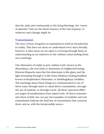directly, daily and continuously to the living blessings, the "waves of splendor" that are the Heart Essence of the Vast Expanse, or whatever one's lineage might be.

### **Transmission**

The story of how Dzogchen is transmitted is itself an introduction to reality. This does not mean we understand every story literally; however, it does mean we are open to receiving through them an understanding as yet unknown to the ordinary mind seeking those very teachings.

One dimension of reality is pure radiant truth, known as the dharmakaya, the true body or dimension of enlightened beings. Khetsun Rinpoche says that this dimension is like glass, and the light streaming through it is like those fabulous-looking buddhas known as Resplendent Dimension, or Sambhogakaya, buddhas. The teachings about these things are communicated in one of three ways: through mind-to-mind direct transmission, through the use of symbols, or through words. All these represent different stages of manifestation from naked truth. Of direct transmission there is little one can say, but examples of symbolic and oral transmission indicate the fluid line of transmission that connects them, and us, with the inexpressible source.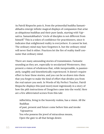As Patrül Rinpoche puts it, from the primordial buddha Samantabhadra emerge infinite magical displays of compassion that arise as ubiquitous buddhas and their pure lands, starting with Vajrsattva. Samantabhadra's "circle of disciples is not different from himself." This is a token of confidence for practitioners, since it indicates that enlightened reality is everywhere. It cannot be lost. The ordinary mind may have forgotten it, but the ordinary mind will never find it either. Practices let the fire of reality itself consume that ordinary mind.

There are many astounding stories of transmission. Fantastic sounding as they are, especially to secularized Westerners, they present a vision of wholeness that, while inexpressible, is passionately, tangibly and kinesthetically experienced. It doesn't require effort to hear these stories, and you can be so drawn into them that you forget to make the kind of effort that divides you from the real nature you seek. In Words of My Perfect Teacher, Patrül Rinpoche displays this (and more) most ingeniously in a story of how the pith instructions of Dzogchen came into the world. Here are a few abbreviated scenes from this tale:

Adhichitta, living in the heavenly realms, has a vision. All the Buddhas

of past, present and future come before him and invoke Vajrasattva:

You who possess the jewel of miraculous means, Open the gate to all that beings desire.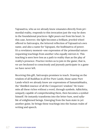Vajrasattva, who as we already know emanates directly from primordial reality, responds to this invocation just the way he does in the foundational practices—light pours out from his heart. In this case, however, the light becomes a brilliant, jeweled wheel offered to Sattvavajra, the lettered reflection of Vajrasattva's own name, and also a name for Vajrapani, the bodhisattva of power. It's a revelatory moment—one expression of the primordial nature requesting teachings from another who equally mirrors it. This teaching is seen here less as a path to reality than as the play of reality's presence. Practice invites us to join in the game; that is, we are beckoned to consciously and joyously participate in a game we have never left.

Receiving this gift, Sattvavajra promises to teach. Drawing on the wisdom of all Buddhas in all five Pure Lands, those same Pure Lands which we already know are expressions of Samantabhadra, the "distilled essence of all the Conquerors' wisdom." He transmits all these riches without a word, through symbols. Adhichitta, uniquely capable of comprehending them, then becomes a symbol himself. He instantly transforms into the letter *hum*, seed syllable of enlightened beings. Emerging from the hum state in yet another guise, he brings these teachings into the human realm of writing and speech.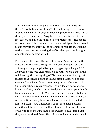This fluid movement bringing primordial reality into expression through symbols and words suggests the flowing movement of "waves of splendor" through the body of practitioners. The best of these practitioners carry Dzogchen expression forward in time, into history and into the minds of new practitioners. The spontaneous arising of the teaching from the natural dynamism of naked reality mirrors the effortless spontaneity of realization. Opening to the stream means releasing the effort that, perhaps, brought one into initial contact with it.

For example, the Heart Essence of the Vast Expanse, one of the most widely renowned Dzogchen lineages, emerges from the visionary writing compiled by Jigme Lingpa. Jigme Lingpa (1729- 1798) was considered an incarnation of both Trisong Detsen, the religious eighth-century king of Tibet, and Vimalamitra, a great master of Dzogchen during the same period. Going to bed one evening, Jigme Lingpa's heart was heavy because he was not in Guru Rinpoche's direct presence. Praying deeply, he went into luminous clarity in which he, while flying over the stupa at Boudhanath, encountered a Sky Woman, a dakini, who entrusted him with a wooden casket in which he found yellow scrolls and crystal beads. Swallowing these, as yet another dakini instructed him, he had, in Tulku Thondup's words, "the amazing experience that all the words of the Heart Essence of the Vast Expanse cycle with their meanings had been awakened in his mind as if they were imprinted there." He had received a profound symbolic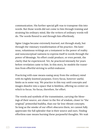communication. His further special gift was to transpose this into words. But those words did not come to him through training and straining his ordinary mind, like the writers of ordinary words will do. The words flowed to and through him effortlessly.

Jigme Lingpa became extremely learned, not through study, but through the visionary transformation of his practice. His luminous, voluminous writings are a testament to the power of reality and nonconceptual vastness to express itself in words through the power of blessings. No effort could produce, or even permit, the clarity that he experienced. Yet, he practiced intensely for years before revelation came to him. In this story, he models the transition from effortful striving to artful endeavor.

Practicing with ease means easing away from the ordinary mind with its tightly knotted purposes. Every focus, however useful, limits us in some way. We practice in this way until concepts and images dissolve into a space that is limitless, offering no center on which to focus. No focus, therefore, for effort.

The words and symbols of the transmission, carrying the blessings of their source, are closer to the fire of wisdom, closer to "the original," primordial buddha, than our far less vibrant concepts. So long as the smoke of our effort obscures them, we cannot fully appreciate the full splendor that is their source and ours. Finding effortless ease means burning these purposeful thoughts. We wait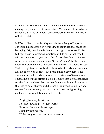in simple awareness for the fire to consume them, thereby disclosing the presence that is our nature. We respond to words and symbols that have until now receded before the effortful creation of finite realities.

In 1974, in Charlottesville, Virginia, Khetsun Sangpo Rinpoche concluded his teaching on Jigme Lingpa's foundational practices by saying, "My own hope is that any among you who would like to begin these foundational practices will do so. In that case I will return and teach you the paths of Dzogchen." He did indeed return nearly a half dozen times. At the age of eighty-three he is about to visit once more in order, he told us on the phone, to "say Tashi Deleg" (farewell, or best wishes) to his friends and students. He, like the tertön in Tibet, like great lamas everywhere, is for students the embodied expression of the stream of transmission emanating from the primordial field. This stream is what students receive from teachers. Even in a student's simple act of requesting this, the mind of chatter and distraction is invited to subside and so reveal what ordinary mind can never know. As Jigme Lingpa explains in his foundational practice text:

Praying from my heart center Not just mouthings, not just words Bless me from your heart expanse Fulfill my aspirations. With strong resolve that never weakens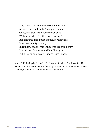May Lama's blessed mindstream enter me. All are from the first highest pure lands Gods, mantras, True Bodies ever pure With no work of "do this don't do that" Radiant true-mind past thought or knowing May I see reality nakedly In rainbow space where thoughts are freed, may My visions of spheres and Buddhas grow Full true-mind display, Buddha Pure Lands.

Anne C. Klein (Rigzin Drolma) is Professor of Religious Studies at Rice University in Houston, Texas, and the founding director of Dawn Mountain Tibetan Temple, Community Center and Research Institute.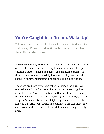# **You're Caught in a Dream. Wake Up!**

When you see that much of your life is spent in dreamlike states, says Pema Khandro Rinpoche, you are freed from the suffering they cause.

If we think about it, we see that our lives are consumed by a series of dreamlike states: memories, daydreams, fantasies, future plans, emotional states, imagination, fears. Like nighttime dreams, all these mental states are partially based on "reality" and partially based on our interpretations, projections, and extrapolations.

These are produced by what is called in Tibetan the *sprul pa'i sems*—the mind that functions like a magician generating illusions. It is taking place all the time, both inwardly and in the way the world arises. The text *The Laughter of the Dakini* says, "Like a magician's illusion, like a flash of lightning, like a dream—all phenomena that arise from causes and conditions are like these." If we can recognize this, then it is like lucid dreaming during our daily lives.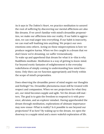As it says in *The Dakini's Heart*, we practice meditation to unravel the root of suffering by discovering our mental afflictions are also like dreams. If we aren't familiar with mind's dreamlike propensities, we make our afflictions into our reality. If our habit is aggression, we can read anger into everything. If our habit is insecurity, we can read self-loathing into anything. We project our own emotions onto others. Acting on these misperceptions is how we produce negative karma. When we live caught in a dream that we don't know we're dreaming, we suffer tremendously. To wake up and apprehend that dream for what it is—this is why Buddhists meditate. Meditation is a way of getting to know mind. Far beyond exotic fantasies of enlightenment is the everyday wakefulness of simply coming to understanding how mind functions. Only then can we function appropriately and freely within the scope of mind's propensities.

Does observing the dreamlike power of mind negate our thoughts and feelings? No. Dreamlike phenomena must still be treated with respect and compassion. When we see projections for what they are, our mind becomes supple and agile. Yet the dream still matters. The goal is to gain the freedom to respond to it with presence, altruism, and an explorer mindset. Having apprehended the dream through meditation, explorations of ultimate importance may now ensue—What is reality? Is it possible to see beyond our projections? If so how? By waking up to the dream, we open the doorway to a supple mind and a more wakeful exploration of life.